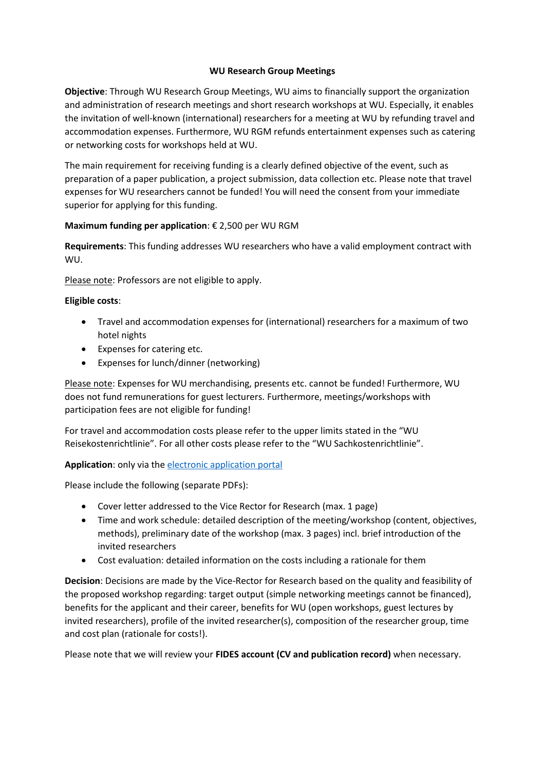## **WU Research Group Meetings**

**Objective**: Through WU Research Group Meetings, WU aims to financially support the organization and administration of research meetings and short research workshops at WU. Especially, it enables the invitation of well-known (international) researchers for a meeting at WU by refunding travel and accommodation expenses. Furthermore, WU RGM refunds entertainment expenses such as catering or networking costs for workshops held at WU.

The main requirement for receiving funding is a clearly defined objective of the event, such as preparation of a paper publication, a project submission, data collection etc. Please note that travel expenses for WU researchers cannot be funded! You will need the consent from your immediate superior for applying for this funding.

# **Maximum funding per application**: € 2,500 per WU RGM

**Requirements**: This funding addresses WU researchers who have a valid employment contract with WU.

Please note: Professors are not eligible to apply.

#### **Eligible costs**:

- Travel and accommodation expenses for (international) researchers for a maximum of two hotel nights
- Expenses for catering etc.
- Expenses for lunch/dinner (networking)

Please note: Expenses for WU merchandising, presents etc. cannot be funded! Furthermore, WU does not fund remunerations for guest lecturers. Furthermore, meetings/workshops with participation fees are not eligible for funding!

For travel and accommodation costs please refer to the upper limits stated in the "WU Reisekostenrichtlinie". For all other costs please refer to the "WU Sachkostenrichtlinie".

# **Application**: only via the [electronic application portal](https://www.wu.ac.at/index.php?id=47252)

Please include the following (separate PDFs):

- Cover letter addressed to the Vice Rector for Research (max. 1 page)
- Time and work schedule: detailed description of the meeting/workshop (content, objectives, methods), preliminary date of the workshop (max. 3 pages) incl. brief introduction of the invited researchers
- Cost evaluation: detailed information on the costs including a rationale for them

**Decision**: Decisions are made by the Vice-Rector for Research based on the quality and feasibility of the proposed workshop regarding: target output (simple networking meetings cannot be financed), benefits for the applicant and their career, benefits for WU (open workshops, guest lectures by invited researchers), profile of the invited researcher(s), composition of the researcher group, time and cost plan (rationale for costs!).

Please note that we will review your **FIDES account (CV and publication record)** when necessary.